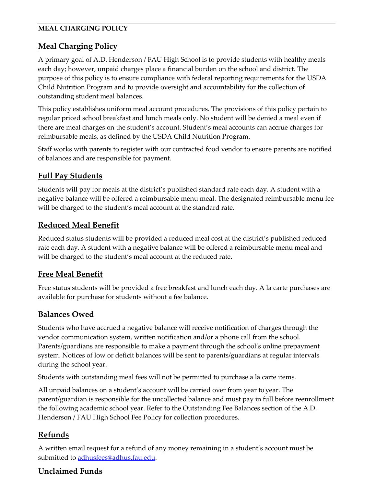#### **MEAL CHARGING POLICY**

## **Meal Charging Policy**

A primary goal of A.D. Henderson / FAU High School is to provide students with healthy meals each day; however, unpaid charges place a financial burden on the school and district. The purpose of this policy is to ensure compliance with federal reporting requirements for the USDA Child Nutrition Program and to provide oversight and accountability for the collection of outstanding student meal balances.

This policy establishes uniform meal account procedures. The provisions of this policy pertain to regular priced school breakfast and lunch meals only. No student will be denied a meal even if there are meal charges on the student's account. Student's meal accounts can accrue charges for reimbursable meals, as defined by the USDA Child Nutrition Program.

Staff works with parents to register with our contracted food vendor to ensure parents are notified of balances and are responsible for payment.

## **Full Pay Students**

Students will pay for meals at the district's published standard rate each day. A student with a negative balance will be offered a reimbursable menu meal. The designated reimbursable menu fee will be charged to the student's meal account at the standard rate.

## **Reduced Meal Benefit**

Reduced status students will be provided a reduced meal cost at the district's published reduced rate each day. A student with a negative balance will be offered a reimbursable menu meal and will be charged to the student's meal account at the reduced rate.

## **Free Meal Benefit**

Free status students will be provided a free breakfast and lunch each day. A la carte purchases are available for purchase for students without a fee balance.

# **Balances Owed**

Students who have accrued a negative balance will receive notification of charges through the vendor communication system, written notification and/or a phone call from the school. Parents/guardians are responsible to make a payment through the school's online prepayment system. Notices of low or deficit balances will be sent to parents/guardians at regular intervals during the school year.

Students with outstanding meal fees will not be permitted to purchase a la carte items.

All unpaid balances on a student's account will be carried over from year to year. The parent/guardian is responsible for the uncollected balance and must pay in full before reenrollment the following academic school year. Refer to the Outstanding Fee Balances section of the A.D. Henderson / FAU High School Fee Policy for collection procedures.

# **Refunds**

A written email request for a refund of any money remaining in a student's account must be submitted to [adhusfees@adhus.fau.edu.](mailto:adhusfees@adhus.fau.edu)

# **Unclaimed Funds**